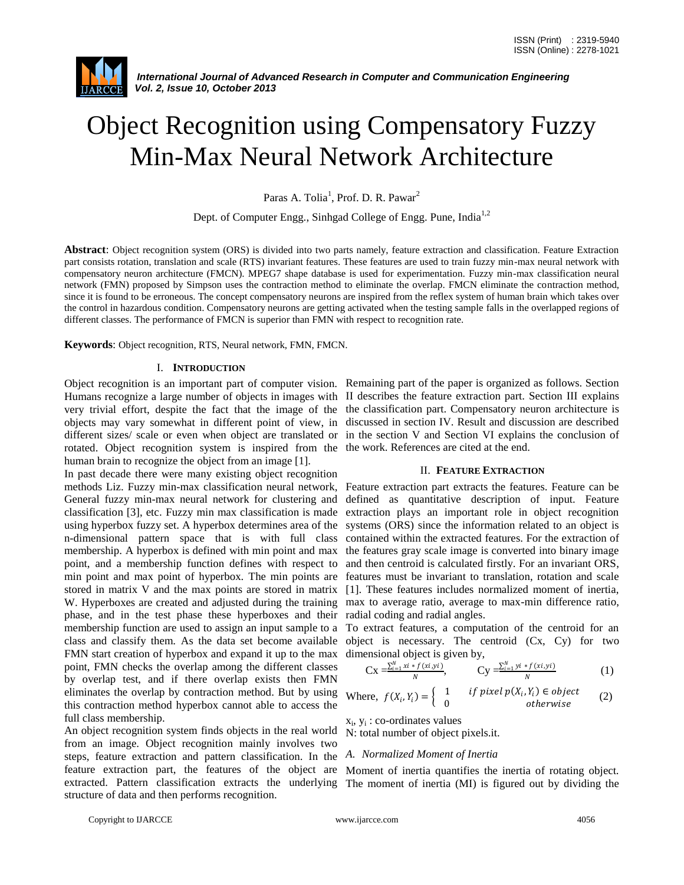

# Object Recognition using Compensatory Fuzzy Min-Max Neural Network Architecture

Paras A. Tolia<sup>1</sup>, Prof. D. R. Pawar<sup>2</sup>

Dept. of Computer Engg., Sinhgad College of Engg. Pune, India<sup>1,2</sup>

**Abstract**: Object recognition system (ORS) is divided into two parts namely, feature extraction and classification. Feature Extraction part consists rotation, translation and scale (RTS) invariant features. These features are used to train fuzzy min-max neural network with compensatory neuron architecture (FMCN). MPEG7 shape database is used for experimentation. Fuzzy min-max classification neural network (FMN) proposed by Simpson uses the contraction method to eliminate the overlap. FMCN eliminate the contraction method, since it is found to be erroneous. The concept compensatory neurons are inspired from the reflex system of human brain which takes over the control in hazardous condition. Compensatory neurons are getting activated when the testing sample falls in the overlapped regions of different classes. The performance of FMCN is superior than FMN with respect to recognition rate.

**Keywords**: Object recognition, RTS, Neural network, FMN, FMCN.

#### I. **INTRODUCTION**

Object recognition is an important part of computer vision. Remaining part of the paper is organized as follows. Section Humans recognize a large number of objects in images with II describes the feature extraction part. Section III explains very trivial effort, despite the fact that the image of the the classification part. Compensatory neuron architecture is objects may vary somewhat in different point of view, in discussed in section IV. Result and discussion are described different sizes/ scale or even when object are translated or in the section V and Section VI explains the conclusion of rotated. Object recognition system is inspired from the human brain to recognize the object from an image [1].

In past decade there were many existing object recognition methods Liz. Fuzzy min-max classification neural network, Feature extraction part extracts the features. Feature can be General fuzzy min-max neural network for clustering and defined as quantitative description of input. Feature classification [3], etc. Fuzzy min max classification is made using hyperbox fuzzy set. A hyperbox determines area of the n-dimensional pattern space that is with full class contained within the extracted features. For the extraction of membership. A hyperbox is defined with min point and max point, and a membership function defines with respect to min point and max point of hyperbox. The min points are features must be invariant to translation, rotation and scale stored in matrix V and the max points are stored in matrix [1]. These features includes normalized moment of inertia, W. Hyperboxes are created and adjusted during the training max to average ratio, average to max-min difference ratio, phase, and in the test phase these hyperboxes and their radial coding and radial angles. membership function are used to assign an input sample to a To extract features, a computation of the centroid for an class and classify them. As the data set become available object is necessary. The centroid (Cx, Cy) for two FMN start creation of hyperbox and expand it up to the max dimensional object is given by, point, FMN checks the overlap among the different classes by overlap test, and if there overlap exists then FMN eliminates the overlap by contraction method. But by using this contraction method hyperbox cannot able to access the full class membership.

An object recognition system finds objects in the real world from an image. Object recognition mainly involves two steps, feature extraction and pattern classification. In the *A. Normalized Moment of Inertia* feature extraction part, the features of the object are Moment of inertia quantifies the inertia of rotating object. structure of data and then performs recognition.

the work. References are cited at the end.

#### II. **FEATURE EXTRACTION**

extraction plays an important role in object recognition systems (ORS) since the information related to an object is the features gray scale image is converted into binary image and then centroid is calculated firstly. For an invariant ORS,

$$
Cx = \frac{\sum_{i=1}^{N} xi * f(xi, yi)}{N}, \qquad Cy = \frac{\sum_{i=1}^{N} yi * f(xi, yi)}{N}
$$
 (1)

Where, 
$$
f(X_i, Y_i) = \begin{cases} 1 & \text{if pixel } p(X_i, Y_i) \in object \\ 0 & \text{otherwise} \end{cases}
$$
 (2)

xi , y<sup>i</sup> : co-ordinates values

N: total number of object pixels.it.

extracted. Pattern classification extracts the underlying The moment of inertia (MI) is figured out by dividing the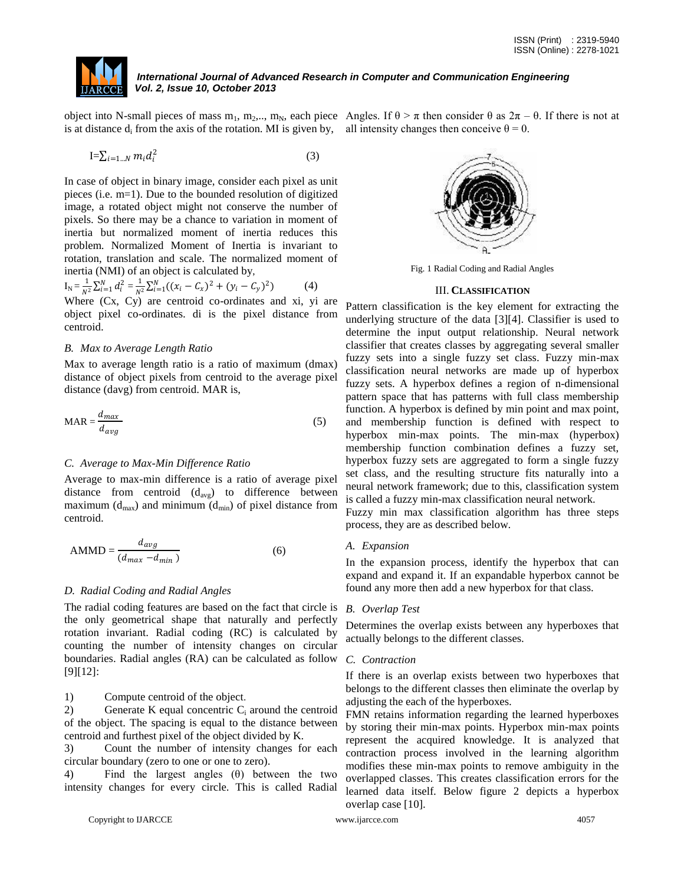

object into N-small pieces of mass m<sub>1</sub>, m<sub>2</sub>,.., m<sub>N</sub>, each piece Angles. If  $\theta > \pi$  then consider  $\theta$  as  $2\pi - \theta$ . If there is not at is at distance  $d_i$  from the axis of the rotation. MI is given by, all intensity changes then conceive  $\theta = 0$ .

$$
\mathbf{I} = \sum_{i=1...N} m_i d_i^2 \tag{3}
$$

In case of object in binary image, consider each pixel as unit pieces (i.e. m=1). Due to the bounded resolution of digitized image, a rotated object might not conserve the number of pixels. So there may be a chance to variation in moment of inertia but normalized moment of inertia reduces this problem. Normalized Moment of Inertia is invariant to rotation, translation and scale. The normalized moment of inertia (NMI) of an object is calculated by,

$$
I_N = \frac{1}{N^2} \sum_{i=1}^N d_i^2 = \frac{1}{N^2} \sum_{i=1}^N ((x_i - C_x)^2 + (y_i - C_y)^2)
$$
 (4)

Where (Cx, Cy) are centroid co-ordinates and xi, yi are object pixel co-ordinates. di is the pixel distance from centroid.

### *B. Max to Average Length Ratio*

Max to average length ratio is a ratio of maximum (dmax) distance of object pixels from centroid to the average pixel distance (davg) from centroid. MAR is,

$$
MAR = \frac{d_{max}}{d_{avg}}
$$
 (5)

### *C. Average to Max-Min Difference Ratio*

Average to max-min difference is a ratio of average pixel distance from centroid  $(d_{avg})$  to difference between maximum ( $d_{\text{max}}$ ) and minimum ( $d_{\text{min}}$ ) of pixel distance from centroid.

$$
AMMD = \frac{d_{avg}}{(d_{max} - d_{min})}
$$
 (6)

### *D. Radial Coding and Radial Angles*

The radial coding features are based on the fact that circle is the only geometrical shape that naturally and perfectly rotation invariant. Radial coding (RC) is calculated by counting the number of intensity changes on circular boundaries. Radial angles (RA) can be calculated as follow [9][12]:

1) Compute centroid of the object.

2) Generate K equal concentric  $C_i$  around the centroid of the object. The spacing is equal to the distance between centroid and furthest pixel of the object divided by K.

3) Count the number of intensity changes for each circular boundary (zero to one or one to zero).

4) Find the largest angles (θ) between the two intensity changes for every circle. This is called Radial



Fig. 1 Radial Coding and Radial Angles

#### III. **CLASSIFICATION**

Pattern classification is the key element for extracting the underlying structure of the data [3][4]. Classifier is used to determine the input output relationship. Neural network classifier that creates classes by aggregating several smaller fuzzy sets into a single fuzzy set class. Fuzzy min-max classification neural networks are made up of hyperbox fuzzy sets. A hyperbox defines a region of n-dimensional pattern space that has patterns with full class membership function. A hyperbox is defined by min point and max point, and membership function is defined with respect to hyperbox min-max points. The min-max (hyperbox) membership function combination defines a fuzzy set, hyperbox fuzzy sets are aggregated to form a single fuzzy set class, and the resulting structure fits naturally into a neural network framework; due to this, classification system is called a fuzzy min-max classification neural network.

Fuzzy min max classification algorithm has three steps process, they are as described below.

#### *A. Expansion*

In the expansion process, identify the hyperbox that can expand and expand it. If an expandable hyperbox cannot be found any more then add a new hyperbox for that class.

#### *B. Overlap Test*

Determines the overlap exists between any hyperboxes that actually belongs to the different classes.

#### *C. Contraction*

If there is an overlap exists between two hyperboxes that belongs to the different classes then eliminate the overlap by adjusting the each of the hyperboxes.

FMN retains information regarding the learned hyperboxes by storing their min-max points. Hyperbox min-max points represent the acquired knowledge. It is analyzed that contraction process involved in the learning algorithm modifies these min-max points to remove ambiguity in the overlapped classes. This creates classification errors for the learned data itself. Below figure 2 depicts a hyperbox overlap case [10].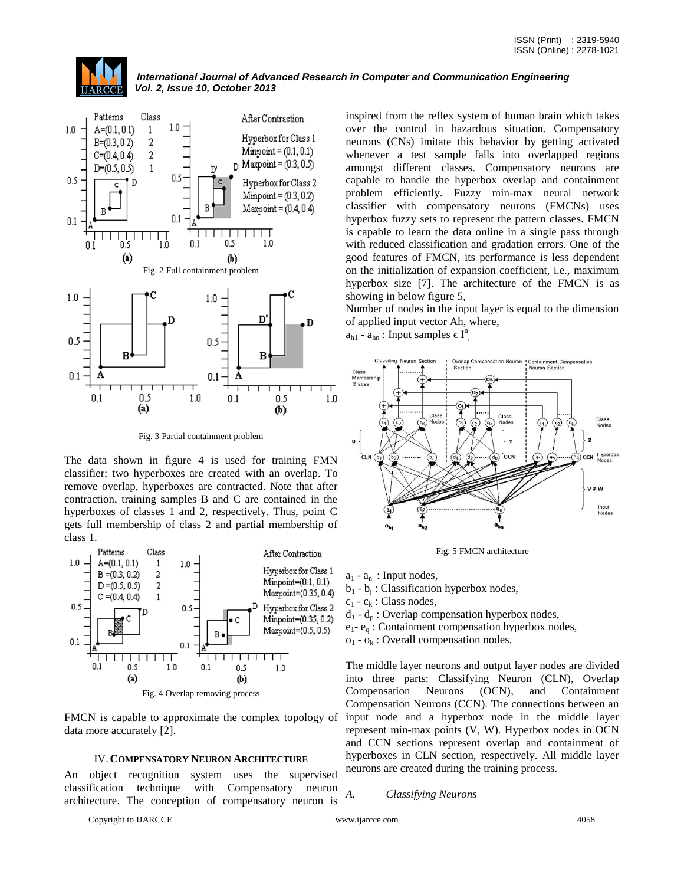

Fig. 3 Partial containment problem

The data shown in figure 4 is used for training FMN classifier; two hyperboxes are created with an overlap. To remove overlap, hyperboxes are contracted. Note that after contraction, training samples B and C are contained in the hyperboxes of classes 1 and 2, respectively. Thus, point C gets full membership of class 2 and partial membership of class 1.



FMCN is capable to approximate the complex topology of data more accurately [2].

#### IV.**COMPENSATORY NEURON ARCHITECTURE**

An object recognition system uses the supervised classification technique with Compensatory neuron architecture. The conception of compensatory neuron is

Copyright to IJARCCE www.ijarcce.com 4058

inspired from the reflex system of human brain which takes over the control in hazardous situation. Compensatory neurons (CNs) imitate this behavior by getting activated whenever a test sample falls into overlapped regions amongst different classes. Compensatory neurons are capable to handle the hyperbox overlap and containment problem efficiently. Fuzzy min-max neural network classifier with compensatory neurons (FMCNs) uses hyperbox fuzzy sets to represent the pattern classes. FMCN is capable to learn the data online in a single pass through with reduced classification and gradation errors. One of the good features of FMCN, its performance is less dependent on the initialization of expansion coefficient, i.e., maximum hyperbox size [7]. The architecture of the FMCN is as showing in below figure 5,

Number of nodes in the input layer is equal to the dimension of applied input vector Ah, where,

 $a_{h1}$  -  $a_{hn}$ : Input samples  $\in I^n$ ,



Fig. 5 FMCN architecture

 $a_1 - a_n$ : Input nodes,

 $b_1 - b_j$ : Classification hyperbox nodes,

 $c_1$  -  $c_k$  : Class nodes,

 $d_1 - d_p$ : Overlap compensation hyperbox nodes,

 $e_1$ -  $e_q$ : Containment compensation hyperbox nodes,

 $o_1$  -  $o_k$  : Overall compensation nodes.

The middle layer neurons and output layer nodes are divided into three parts: Classifying Neuron (CLN), Overlap Compensation Neurons (OCN), and Containment Compensation Neurons (CCN). The connections between an input node and a hyperbox node in the middle layer represent min-max points (V, W). Hyperbox nodes in OCN and CCN sections represent overlap and containment of hyperboxes in CLN section, respectively. All middle layer neurons are created during the training process.

#### *A. Classifying Neurons*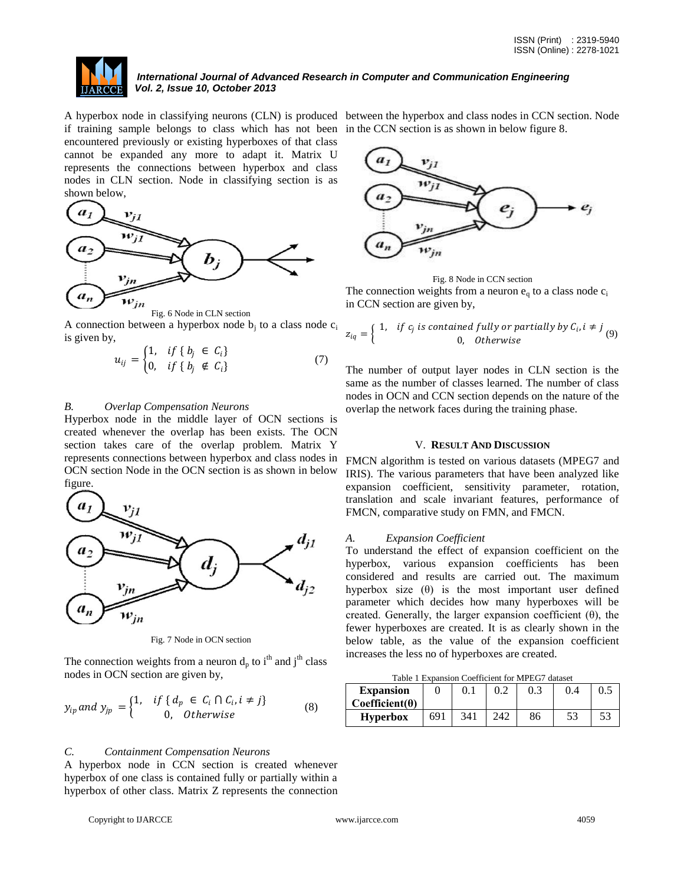

if training sample belongs to class which has not been in the CCN section is as shown in below figure 8. encountered previously or existing hyperboxes of that class cannot be expanded any more to adapt it. Matrix U represents the connections between hyperbox and class nodes in CLN section. Node in classifying section is as shown below,



A connection between a hyperbox node  $b_j$  to a class node  $c_i$ is given by,

$$
u_{ij} = \begin{cases} 1, & if \{b_j \in C_i\} \\ 0, & if \{b_j \notin C_i\} \end{cases}
$$
 (7)

### *B. Overlap Compensation Neurons*

Hyperbox node in the middle layer of OCN sections is created whenever the overlap has been exists. The OCN section takes care of the overlap problem. Matrix Y represents connections between hyperbox and class nodes in OCN section Node in the OCN section is as shown in below figure.



Fig. 7 Node in OCN section

The connection weights from a neuron  $d_p$  to i<sup>th</sup> and j<sup>th</sup> class nodes in OCN section are given by,

$$
y_{ip} \text{ and } y_{jp} = \begin{cases} 1, & \text{if } \{ d_p \in C_i \cap C_i, i \neq j \} \\ 0, & \text{otherwise} \end{cases}
$$
 (8)

#### *C. Containment Compensation Neurons*

A hyperbox node in CCN section is created whenever hyperbox of one class is contained fully or partially within a hyperbox of other class. Matrix Z represents the connection

Copyright to IJARCCE www.ijarcce.com 4059

A hyperbox node in classifying neurons (CLN) is produced between the hyperbox and class nodes in CCN section. Node





$$
z_{iq} = \left\{ \begin{array}{ll} 1, & \text{if } c_j \text{ is contained fully or partially by } C_i, i \neq j \\ 0, & \text{Otherwise} \end{array} \right. \tag{9}
$$

The number of output layer nodes in CLN section is the same as the number of classes learned. The number of class nodes in OCN and CCN section depends on the nature of the overlap the network faces during the training phase.

#### V. **RESULT AND DISCUSSION**

FMCN algorithm is tested on various datasets (MPEG7 and IRIS). The various parameters that have been analyzed like expansion coefficient, sensitivity parameter, rotation, translation and scale invariant features, performance of FMCN, comparative study on FMN, and FMCN.

### *A. Expansion Coefficient*

To understand the effect of expansion coefficient on the hyperbox, various expansion coefficients has been considered and results are carried out. The maximum hyperbox size  $(\theta)$  is the most important user defined parameter which decides how many hyperboxes will be created. Generally, the larger expansion coefficient  $(\theta)$ , the fewer hyperboxes are created. It is as clearly shown in the below table, as the value of the expansion coefficient increases the less no of hyperboxes are created.

Table 1 Expansion Coefficient for MPEG7 dataset

| <b>Expansion</b>      |     | 0.1 |     | 0.3 | 0.4 |  |
|-----------------------|-----|-----|-----|-----|-----|--|
| $Coefficient(\theta)$ |     |     |     |     |     |  |
| <b>Hyperbox</b>       | 691 | 341 | 242 | 86  | 53  |  |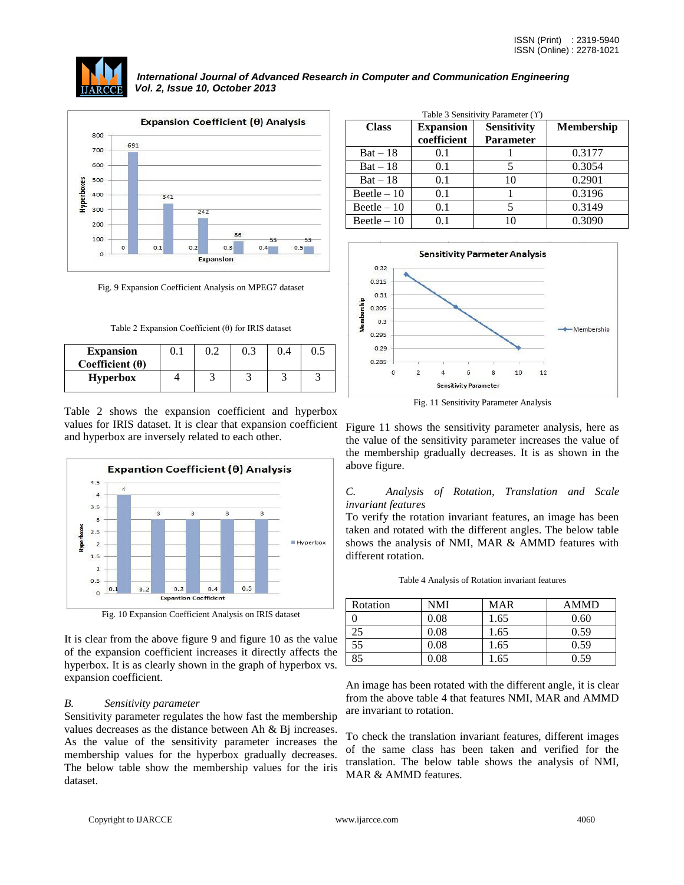

Fig. 9 Expansion Coefficient Analysis on MPEG7 dataset

|  | Table 2 Expansion Coefficient $(\theta)$ for IRIS dataset |  |  |
|--|-----------------------------------------------------------|--|--|

| <b>Expansion</b><br>Coefficient $(\theta)$ |  | 0.3 | 0.5 |
|--------------------------------------------|--|-----|-----|
| <b>Hyperbox</b>                            |  |     |     |

Table 2 shows the expansion coefficient and hyperbox values for IRIS dataset. It is clear that expansion coefficient and hyperbox are inversely related to each other.



Fig. 10 Expansion Coefficient Analysis on IRIS dataset

It is clear from the above figure 9 and figure 10 as the value of the expansion coefficient increases it directly affects the hyperbox. It is as clearly shown in the graph of hyperbox vs. expansion coefficient.

# *B. Sensitivity parameter*

Sensitivity parameter regulates the how fast the membership values decreases as the distance between Ah & Bj increases. As the value of the sensitivity parameter increases the membership values for the hyperbox gradually decreases. The below table show the membership values for the iris dataset.

| <b>Class</b> | <b>Expansion</b><br>coefficient | <b>Sensitivity</b><br><b>Parameter</b> | <b>Membership</b> |
|--------------|---------------------------------|----------------------------------------|-------------------|
| $Bat - 18$   | 0.1                             |                                        | 0.3177            |
| $Bat - 18$   | 0.1                             |                                        | 0.3054            |
| $Bat - 18$   | 0.1                             | 10                                     | 0.2901            |
| $Beetle -10$ | 0.1                             |                                        | 0.3196            |
| Beetle $-10$ | 0.1                             |                                        | 0.3149            |
| Beetle $-10$ | 0.1                             | 10                                     | 0.3090            |



Fig. 11 Sensitivity Parameter Analysis

Figure 11 shows the sensitivity parameter analysis, here as the value of the sensitivity parameter increases the value of the membership gradually decreases. It is as shown in the above figure.

# *C. Analysis of Rotation, Translation and Scale invariant features*

To verify the rotation invariant features, an image has been taken and rotated with the different angles. The below table shows the analysis of NMI, MAR & AMMD features with different rotation.

| Rotation | NMI      | <b>MAR</b> | <b>AMMD</b> |
|----------|----------|------------|-------------|
|          | 0.08     | 1.65       | 0.60        |
| 25       | 0.08     | 1.65       | 0.59        |
| 55       | 0.08     | 1.65       | 0.59        |
| 85       | $0.08\,$ | .65        | 0.59        |

Table 4 Analysis of Rotation invariant features

An image has been rotated with the different angle, it is clear from the above table 4 that features NMI, MAR and AMMD are invariant to rotation.

To check the translation invariant features, different images of the same class has been taken and verified for the translation. The below table shows the analysis of NMI, MAR & AMMD features.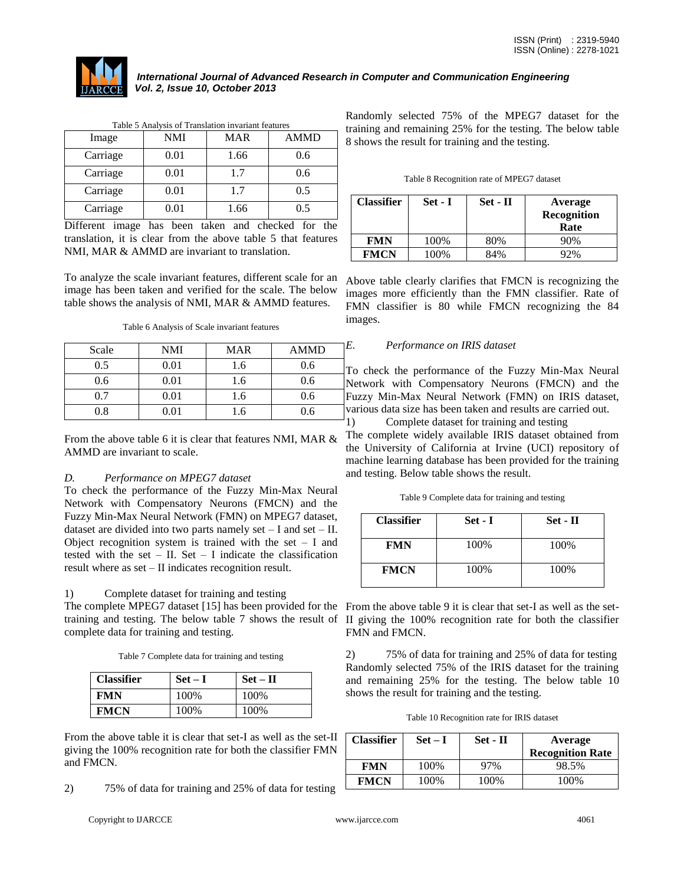

| Table 5 Analysis of Translation invariant features |            |            |             |  |  |
|----------------------------------------------------|------------|------------|-------------|--|--|
| Image                                              | <b>NMI</b> | <b>MAR</b> | <b>AMMD</b> |  |  |
| Carriage                                           | 0.01       | 1.66       | 0.6         |  |  |
| Carriage                                           | 0.01       | 1.7        | 0.6         |  |  |
| Carriage                                           | 0.01       | 1.7        | 0.5         |  |  |
| Carriage                                           | 0.01       | 1.66       | 0.5         |  |  |

Different image has been taken and checked for the translation, it is clear from the above table 5 that features NMI, MAR & AMMD are invariant to translation.

To analyze the scale invariant features, different scale for an image has been taken and verified for the scale. The below table shows the analysis of NMI, MAR & AMMD features.

| Scale | NMI  | <b>MAR</b> | <b>AMMD</b> |
|-------|------|------------|-------------|
| 0.5   | 0.01 | 1.6        | 0.6         |
| 0.6   | 0.01 | 1.6        | 0.6         |
| 0.7   | 0.01 | 1.6        | 0.6         |
| 0.8   | 0.01 | 1.6        | 0.6         |

From the above table 6 it is clear that features NMI, MAR & AMMD are invariant to scale.

# *D. Performance on MPEG7 dataset*

To check the performance of the Fuzzy Min-Max Neural Network with Compensatory Neurons (FMCN) and the Fuzzy Min-Max Neural Network (FMN) on MPEG7 dataset, dataset are divided into two parts namely set  $-$  I and set  $-$  II. Object recognition system is trained with the set  $- I$  and tested with the set  $-$  II. Set  $-$  I indicate the classification result where as set – II indicates recognition result.

1) Complete dataset for training and testing

The complete MPEG7 dataset [15] has been provided for the From the above table 9 it is clear that set-I as well as the setcomplete data for training and testing.

Table 7 Complete data for training and testing

| <b>Classifier</b> | $Set-I$ | $Set - II$ |
|-------------------|---------|------------|
| <b>FMN</b>        | 100%    | 100%       |
| <b>FMCN</b>       | 100%    | 100%       |

From the above table it is clear that set-I as well as the set-II giving the 100% recognition rate for both the classifier FMN and FMCN.

2) 75% of data for training and 25% of data for testing

Copyright to IJARCCE www.ijarcce.com 4061

Randomly selected 75% of the MPEG7 dataset for the training and remaining 25% for the testing. The below table 8 shows the result for training and the testing.

| Table 8 Recognition rate of MPEG7 dataset |  |  |
|-------------------------------------------|--|--|

| <b>Classifier</b> | Set - I | $Set$ - $II$ | Average<br>Recognition<br>Rate |
|-------------------|---------|--------------|--------------------------------|
| <b>FMN</b>        | 100%    | 80%          | 90%                            |
| <b>FMCN</b>       | 100%    | 84%          | 92%                            |

Above table clearly clarifies that FMCN is recognizing the images more efficiently than the FMN classifier. Rate of FMN classifier is 80 while FMCN recognizing the 84 images.

# *E. Performance on IRIS dataset*

To check the performance of the Fuzzy Min-Max Neural Network with Compensatory Neurons (FMCN) and the Fuzzy Min-Max Neural Network (FMN) on IRIS dataset, various data size has been taken and results are carried out.

1) Complete dataset for training and testing

The complete widely available IRIS dataset obtained from the University of California at Irvine (UCI) repository of machine learning database has been provided for the training and testing. Below table shows the result.

Table 9 Complete data for training and testing

| <b>Classifier</b> | Set - I | Set - II |
|-------------------|---------|----------|
| <b>FMN</b>        | 100%    | 100%     |
| <b>FMCN</b>       | 100%    | 100%     |

training and testing. The below table 7 shows the result of II giving the 100% recognition rate for both the classifier FMN and FMCN.

> 2) 75% of data for training and 25% of data for testing Randomly selected 75% of the IRIS dataset for the training and remaining 25% for the testing. The below table 10 shows the result for training and the testing.

| <b>Classifier</b> | $Set-I$ | Set - II | Average<br><b>Recognition Rate</b> |
|-------------------|---------|----------|------------------------------------|
| <b>FMN</b>        | 100%    | 97%      | 98.5%                              |
| <b>FMCN</b>       | 100\%   | 100%     | 100%                               |